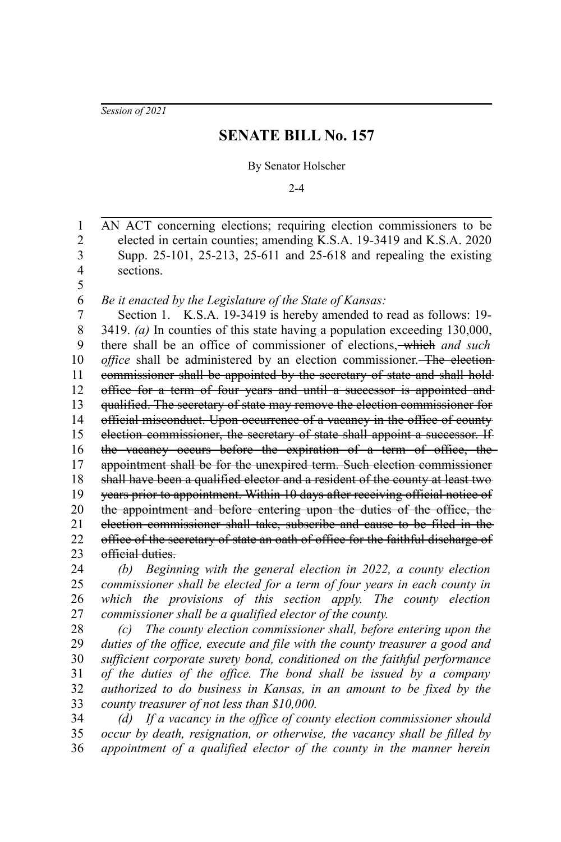*Session of 2021*

## **SENATE BILL No. 157**

## By Senator Holscher

 $2 - 4$ 

AN ACT concerning elections; requiring election commissioners to be elected in certain counties; amending K.S.A. 19-3419 and K.S.A. 2020 Supp. 25-101, 25-213, 25-611 and 25-618 and repealing the existing sections. 1 2 3 4 5

*Be it enacted by the Legislature of the State of Kansas:* 6

Section 1. K.S.A. 19-3419 is hereby amended to read as follows: 19- 3419. *(a)* In counties of this state having a population exceeding 130,000, there shall be an office of commissioner of elections, which *and such office* shall be administered by an election commissioner. The electioncommissioner shall be appointed by the secretary of state and shall hold office for a term of four years and until a successor is appointed and qualified. The secretary of state may remove the election commissioner for official misconduct. Upon occurrence of a vacancy in the office of county election commissioner, the secretary of state shall appoint a successor. If the vacancy occurs before the expiration of a term of office, the appointment shall be for the unexpired term. Such election commissioner shall have been a qualified elector and a resident of the county at least two years prior to appointment. Within 10 days after receiving official notice of the appointment and before entering upon the duties of the office, the election commissioner shall take, subscribe and cause to be filed in the office of the secretary of state an oath of office for the faithful discharge of official duties. 7 8 9 10 11 12 13 14 15 16 17 18 19 20 21 22 23

*(b) Beginning with the general election in 2022, a county election commissioner shall be elected for a term of four years in each county in which the provisions of this section apply. The county election commissioner shall be a qualified elector of the county.* 24 25 26 27

*(c) The county election commissioner shall, before entering upon the duties of the office, execute and file with the county treasurer a good and sufficient corporate surety bond, conditioned on the faithful performance of the duties of the office. The bond shall be issued by a company authorized to do business in Kansas, in an amount to be fixed by the county treasurer of not less than \$10,000.* 28 29 30 31 32 33

*(d) If a vacancy in the office of county election commissioner should occur by death, resignation, or otherwise, the vacancy shall be filled by appointment of a qualified elector of the county in the manner herein* 34 35 36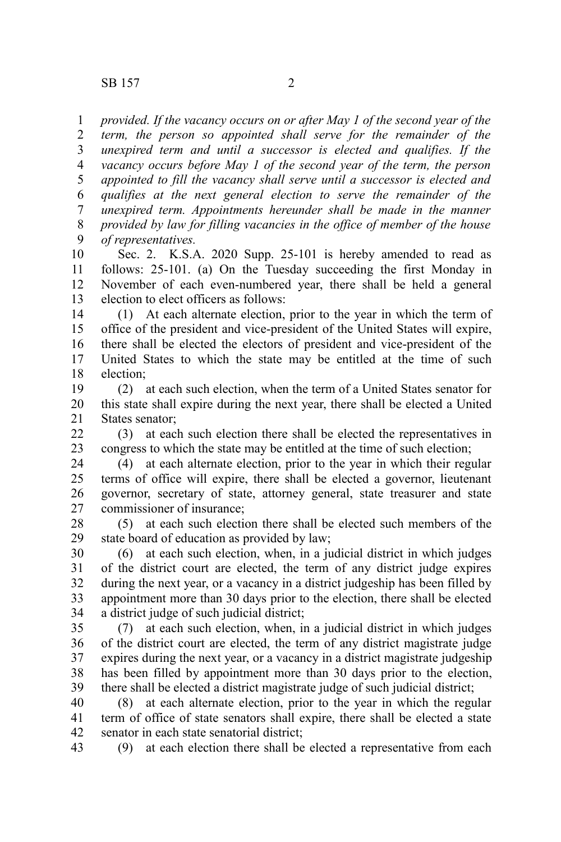*provided. If the vacancy occurs on or after May 1 of the second year of the term, the person so appointed shall serve for the remainder of the unexpired term and until a successor is elected and qualifies. If the vacancy occurs before May 1 of the second year of the term, the person appointed to fill the vacancy shall serve until a successor is elected and* 1 2 3 4 5

*qualifies at the next general election to serve the remainder of the unexpired term. Appointments hereunder shall be made in the manner provided by law for filling vacancies in the office of member of the house of representatives.* 6 7 8 9

Sec. 2. K.S.A. 2020 Supp. 25-101 is hereby amended to read as follows: 25-101. (a) On the Tuesday succeeding the first Monday in November of each even-numbered year, there shall be held a general election to elect officers as follows: 10 11 12 13

(1) At each alternate election, prior to the year in which the term of office of the president and vice-president of the United States will expire, there shall be elected the electors of president and vice-president of the United States to which the state may be entitled at the time of such election; 14 15 16 17 18

(2) at each such election, when the term of a United States senator for this state shall expire during the next year, there shall be elected a United States senator; 19 20 21

(3) at each such election there shall be elected the representatives in congress to which the state may be entitled at the time of such election;  $22$ 23

(4) at each alternate election, prior to the year in which their regular terms of office will expire, there shall be elected a governor, lieutenant governor, secretary of state, attorney general, state treasurer and state commissioner of insurance; 24 25 26 27

(5) at each such election there shall be elected such members of the state board of education as provided by law; 28 29

(6) at each such election, when, in a judicial district in which judges of the district court are elected, the term of any district judge expires during the next year, or a vacancy in a district judgeship has been filled by appointment more than 30 days prior to the election, there shall be elected a district judge of such judicial district; 30 31 32 33 34

(7) at each such election, when, in a judicial district in which judges of the district court are elected, the term of any district magistrate judge expires during the next year, or a vacancy in a district magistrate judgeship has been filled by appointment more than 30 days prior to the election, there shall be elected a district magistrate judge of such judicial district; 35 36 37 38 39

(8) at each alternate election, prior to the year in which the regular term of office of state senators shall expire, there shall be elected a state senator in each state senatorial district; 40 41 42

(9) at each election there shall be elected a representative from each 43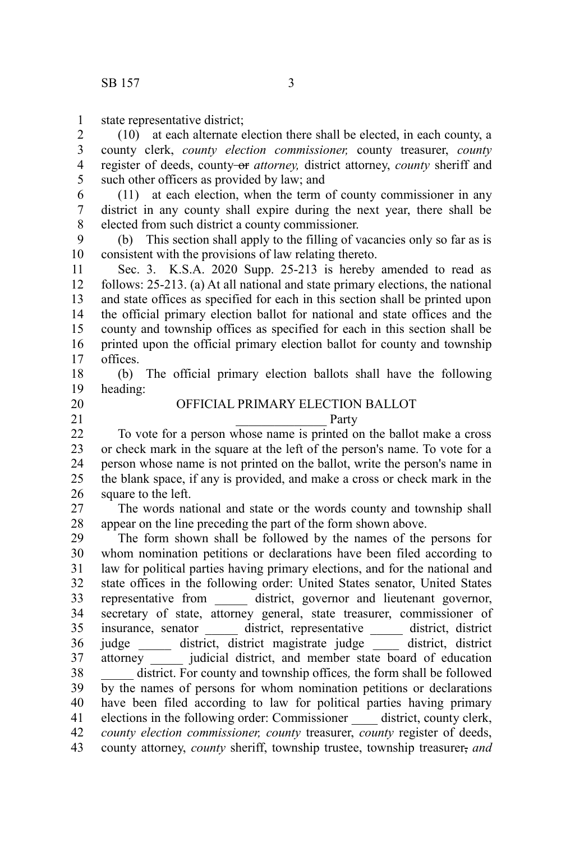state representative district; 1

(10) at each alternate election there shall be elected, in each county, a county clerk, *county election commissioner,* county treasurer, *county* register of deeds, county-or *attorney*, district attorney, *county* sheriff and such other officers as provided by law; and 2 3 4 5

(11) at each election, when the term of county commissioner in any district in any county shall expire during the next year, there shall be elected from such district a county commissioner. 6 7 8

(b) This section shall apply to the filling of vacancies only so far as is consistent with the provisions of law relating thereto. 9 10

Sec. 3. K.S.A. 2020 Supp. 25-213 is hereby amended to read as follows: 25-213. (a) At all national and state primary elections, the national and state offices as specified for each in this section shall be printed upon the official primary election ballot for national and state offices and the county and township offices as specified for each in this section shall be printed upon the official primary election ballot for county and township offices. 11 12 13 14 15 16 17

(b) The official primary election ballots shall have the following heading: 18 19

## OFFICIAL PRIMARY ELECTION BALLOT

20 21

Party

To vote for a person whose name is printed on the ballot make a cross or check mark in the square at the left of the person's name. To vote for a person whose name is not printed on the ballot, write the person's name in the blank space, if any is provided, and make a cross or check mark in the square to the left. 22 23 24 25 26

The words national and state or the words county and township shall appear on the line preceding the part of the form shown above. 27 28

The form shown shall be followed by the names of the persons for whom nomination petitions or declarations have been filed according to law for political parties having primary elections, and for the national and state offices in the following order: United States senator, United States representative from district, governor and lieutenant governor, secretary of state, attorney general, state treasurer, commissioner of insurance, senator \_\_\_\_\_ district, representative \_\_\_\_\_ district, district judge \_\_\_\_\_ district, district magistrate judge \_\_\_\_ district, district attorney \_\_\_\_\_ judicial district, and member state board of education district. For county and township offices, the form shall be followed by the names of persons for whom nomination petitions or declarations have been filed according to law for political parties having primary elections in the following order: Commissioner \_\_\_\_ district, county clerk, *county election commissioner, county* treasurer, *county* register of deeds, county attorney, *county* sheriff, township trustee, township treasurer, *and* 29 30 31 32 33 34 35 36 37 38 39 40 41 42 43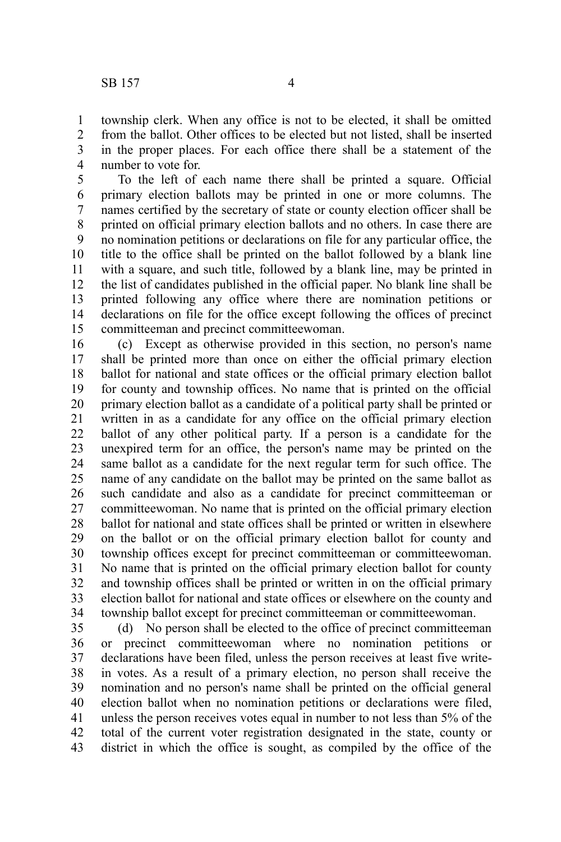township clerk. When any office is not to be elected, it shall be omitted from the ballot. Other offices to be elected but not listed, shall be inserted in the proper places. For each office there shall be a statement of the number to vote for. 1 2 3 4

To the left of each name there shall be printed a square. Official primary election ballots may be printed in one or more columns. The names certified by the secretary of state or county election officer shall be printed on official primary election ballots and no others. In case there are no nomination petitions or declarations on file for any particular office, the title to the office shall be printed on the ballot followed by a blank line with a square, and such title, followed by a blank line, may be printed in the list of candidates published in the official paper. No blank line shall be printed following any office where there are nomination petitions or declarations on file for the office except following the offices of precinct committeeman and precinct committeewoman. 5 6 7 8 9 10 11 12 13 14 15

(c) Except as otherwise provided in this section, no person's name shall be printed more than once on either the official primary election ballot for national and state offices or the official primary election ballot for county and township offices. No name that is printed on the official primary election ballot as a candidate of a political party shall be printed or written in as a candidate for any office on the official primary election ballot of any other political party. If a person is a candidate for the unexpired term for an office, the person's name may be printed on the same ballot as a candidate for the next regular term for such office. The name of any candidate on the ballot may be printed on the same ballot as such candidate and also as a candidate for precinct committeeman or committeewoman. No name that is printed on the official primary election ballot for national and state offices shall be printed or written in elsewhere on the ballot or on the official primary election ballot for county and township offices except for precinct committeeman or committeewoman. No name that is printed on the official primary election ballot for county and township offices shall be printed or written in on the official primary election ballot for national and state offices or elsewhere on the county and township ballot except for precinct committeeman or committeewoman. 16 17 18 19 20 21 22 23 24 25 26 27 28 29 30 31 32 33 34

(d) No person shall be elected to the office of precinct committeeman or precinct committeewoman where no nomination petitions or declarations have been filed, unless the person receives at least five writein votes. As a result of a primary election, no person shall receive the nomination and no person's name shall be printed on the official general election ballot when no nomination petitions or declarations were filed, unless the person receives votes equal in number to not less than 5% of the total of the current voter registration designated in the state, county or district in which the office is sought, as compiled by the office of the 35 36 37 38 39 40 41 42 43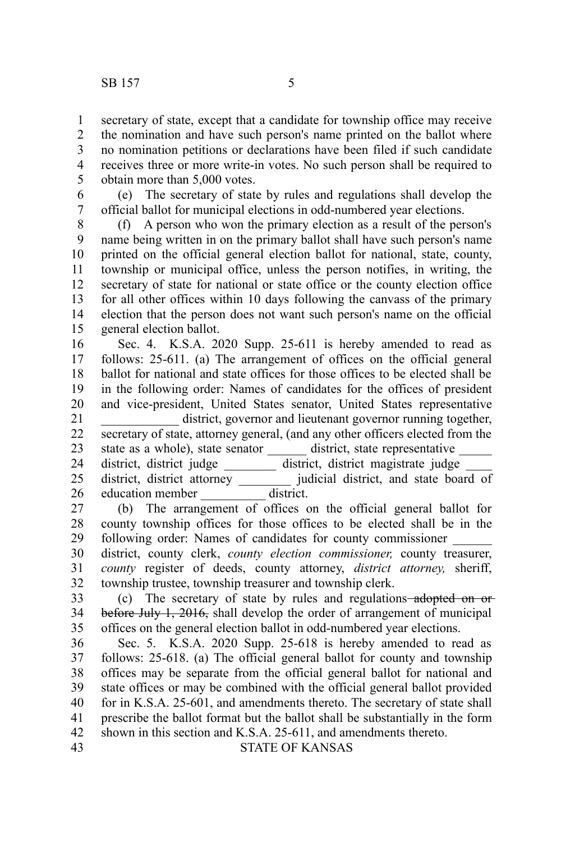secretary of state, except that a candidate for township office may receive the nomination and have such person's name printed on the ballot where no nomination petitions or declarations have been filed if such candidate receives three or more write-in votes. No such person shall be required to obtain more than 5,000 votes. 1 2 3 4 5

(e) The secretary of state by rules and regulations shall develop the official ballot for municipal elections in odd-numbered year elections. 6 7

(f) A person who won the primary election as a result of the person's name being written in on the primary ballot shall have such person's name printed on the official general election ballot for national, state, county, township or municipal office, unless the person notifies, in writing, the secretary of state for national or state office or the county election office for all other offices within 10 days following the canvass of the primary election that the person does not want such person's name on the official general election ballot. 8 9 10 11 12 13 14 15

Sec. 4. K.S.A. 2020 Supp. 25-611 is hereby amended to read as follows: 25-611. (a) The arrangement of offices on the official general ballot for national and state offices for those offices to be elected shall be in the following order: Names of candidates for the offices of president and vice-president, United States senator, United States representative district, governor and lieutenant governor running together, secretary of state, attorney general, (and any other officers elected from the state as a whole), state senator \_\_\_\_\_\_\_ district, state representative district, district judge \_\_\_\_\_\_\_\_ district, district magistrate judge \_\_\_\_ district, district attorney \_\_\_\_\_\_\_\_ judicial district, and state board of 16 17 18 19 20 21 22 23 24 25

education member district. 26

(b) The arrangement of offices on the official general ballot for county township offices for those offices to be elected shall be in the following order: Names of candidates for county commissioner \_\_\_\_\_\_ 27 28 29

district, county clerk, *county election commissioner,* county treasurer, *county* register of deeds, county attorney, *district attorney,* sheriff, township trustee, township treasurer and township clerk. 30 31 32

(c) The secretary of state by rules and regulations adopted on or before July 1, 2016, shall develop the order of arrangement of municipal offices on the general election ballot in odd-numbered year elections. 33 34 35

Sec. 5. K.S.A. 2020 Supp. 25-618 is hereby amended to read as follows: 25-618. (a) The official general ballot for county and township offices may be separate from the official general ballot for national and state offices or may be combined with the official general ballot provided for in K.S.A. 25-601, and amendments thereto. The secretary of state shall prescribe the ballot format but the ballot shall be substantially in the form shown in this section and K.S.A. 25-611, and amendments thereto. 36 37 38 39 40 41 42

43

## STATE OF KANSAS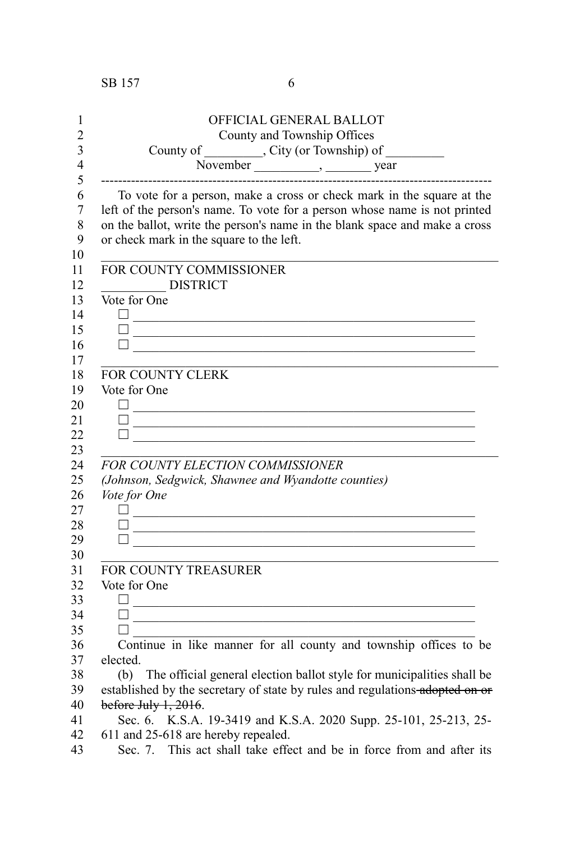| 1              | OFFICIAL GENERAL BALLOT                                                                                                |
|----------------|------------------------------------------------------------------------------------------------------------------------|
| $\overline{c}$ | County and Township Offices                                                                                            |
| 3              |                                                                                                                        |
| 4              |                                                                                                                        |
| 5              | County of County and Termship) of November South Movember 1, 1991                                                      |
| 6              | To vote for a person, make a cross or check mark in the square at the                                                  |
| 7              | left of the person's name. To vote for a person whose name is not printed                                              |
| 8              | on the ballot, write the person's name in the blank space and make a cross                                             |
| 9              | or check mark in the square to the left.                                                                               |
| 10             |                                                                                                                        |
| 11             | FOR COUNTY COMMISSIONER                                                                                                |
| 12             | <b>DISTRICT</b>                                                                                                        |
| 13             | Vote for One                                                                                                           |
| 14             |                                                                                                                        |
| 15             | <u> Alexandria de la contrada de la contrada de la contrada de la contrada de la contrada de la contrada de la c</u>   |
| 16             |                                                                                                                        |
| 17             |                                                                                                                        |
| 18             | <b>FOR COUNTY CLERK</b>                                                                                                |
| 19             | Vote for One                                                                                                           |
| 20             |                                                                                                                        |
| 21             | <u> 1989 - Johann Barn, mars ann an t-Amhain ann an t-Amhain an t-Amhain an t-Amhain an t-Amhain an t-Amhain an t-</u> |
| 22             |                                                                                                                        |
| 23             |                                                                                                                        |
| 24             | FOR COUNTY ELECTION COMMISSIONER                                                                                       |
| 25             | (Johnson, Sedgwick, Shawnee and Wyandotte counties)                                                                    |
| 26             | Vote for One                                                                                                           |
| 27             | 0 <u>- Andrea Andrew American American (</u>                                                                           |
| 28             | <u> 1989 - Johann Barn, amerikansk politiker (</u>                                                                     |
| 29             | П                                                                                                                      |
| 30             |                                                                                                                        |
| 31             | FOR COUNTY TREASURER                                                                                                   |
| 32             | Vote for One                                                                                                           |
| 33             | $\perp$<br><u> 1989 - Johann John Stone, mars an deus Amerikaansk kommunister (</u>                                    |
| 34             | <u> 1989 - Johann John Harry Harry Harry Harry Harry Harry Harry Harry Harry Harry Harry Harry Harry Harry Harry H</u> |
| 35             | П                                                                                                                      |
| 36             | Continue in like manner for all county and township offices to be                                                      |
| 37             | elected.                                                                                                               |
| 38             | (b) The official general election ballot style for municipalities shall be                                             |
| 39             | established by the secretary of state by rules and regulations adopted on or                                           |
| 40             | before July 1, 2016.                                                                                                   |
| 41             | Sec. 6. K.S.A. 19-3419 and K.S.A. 2020 Supp. 25-101, 25-213, 25-                                                       |
| 42             | 611 and 25-618 are hereby repealed.                                                                                    |

Sec. 7. This act shall take effect and be in force from and after its 43